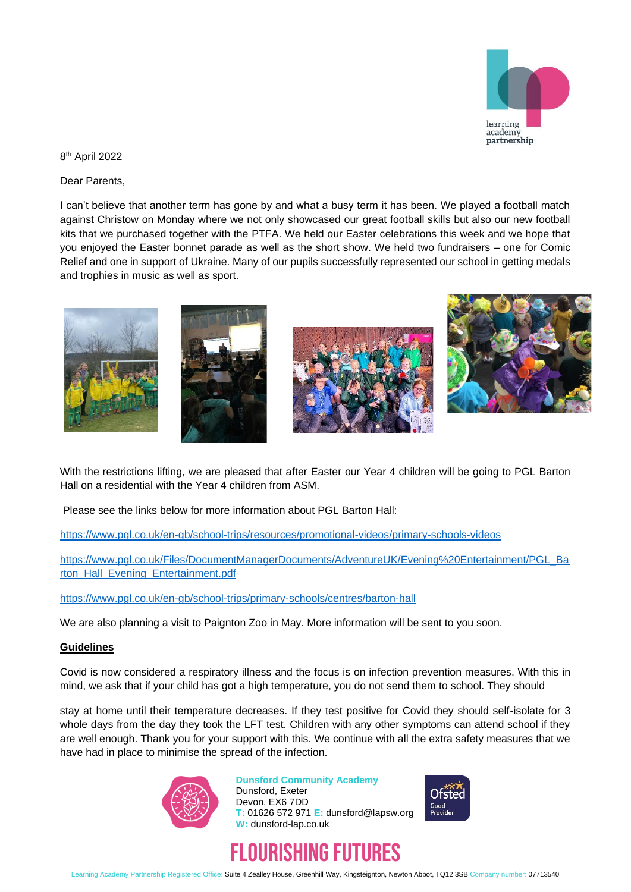

8 th April 2022

Dear Parents,

I can't believe that another term has gone by and what a busy term it has been. We played a football match against Christow on Monday where we not only showcased our great football skills but also our new football kits that we purchased together with the PTFA. We held our Easter celebrations this week and we hope that you enjoyed the Easter bonnet parade as well as the short show. We held two fundraisers – one for Comic Relief and one in support of Ukraine. Many of our pupils successfully represented our school in getting medals and trophies in music as well as sport.



With the restrictions lifting, we are pleased that after Easter our Year 4 children will be going to PGL Barton Hall on a residential with the Year 4 children from ASM.

Please see the links below for more information about PGL Barton Hall:

<https://www.pgl.co.uk/en-gb/school-trips/resources/promotional-videos/primary-schools-videos>

[https://www.pgl.co.uk/Files/DocumentManagerDocuments/AdventureUK/Evening%20Entertainment/PGL\\_Ba](https://www.pgl.co.uk/Files/DocumentManagerDocuments/AdventureUK/Evening%20Entertainment/PGL_Barton_Hall_Evening_Entertainment.pdf) [rton\\_Hall\\_Evening\\_Entertainment.pdf](https://www.pgl.co.uk/Files/DocumentManagerDocuments/AdventureUK/Evening%20Entertainment/PGL_Barton_Hall_Evening_Entertainment.pdf)

<https://www.pgl.co.uk/en-gb/school-trips/primary-schools/centres/barton-hall>

We are also planning a visit to Paignton Zoo in May. More information will be sent to you soon.

## **Guidelines**

Covid is now considered a respiratory illness and the focus is on infection prevention measures. With this in mind, we ask that if your child has got a high temperature, you do not send them to school. They should

stay at home until their temperature decreases. If they test positive for Covid they should self-isolate for 3 whole days from the day they took the LFT test. Children with any other symptoms can attend school if they are well enough. Thank you for your support with this. We continue with all the extra safety measures that we have had in place to minimise the spread of the infection.



**Dunsford Community Academy** Dunsford, Exeter Devon, EX6 7DD **T:** 01626 572 971 **E:** dunsford@lapsw.org **W:** dunsford-lap.co.uk





Learning Academy Partnership Registered Office: Suite 4 Zealley House, Greenhill Way, Kingsteignton, Newton Abbot, TQ12 3SB Company number: 07713540